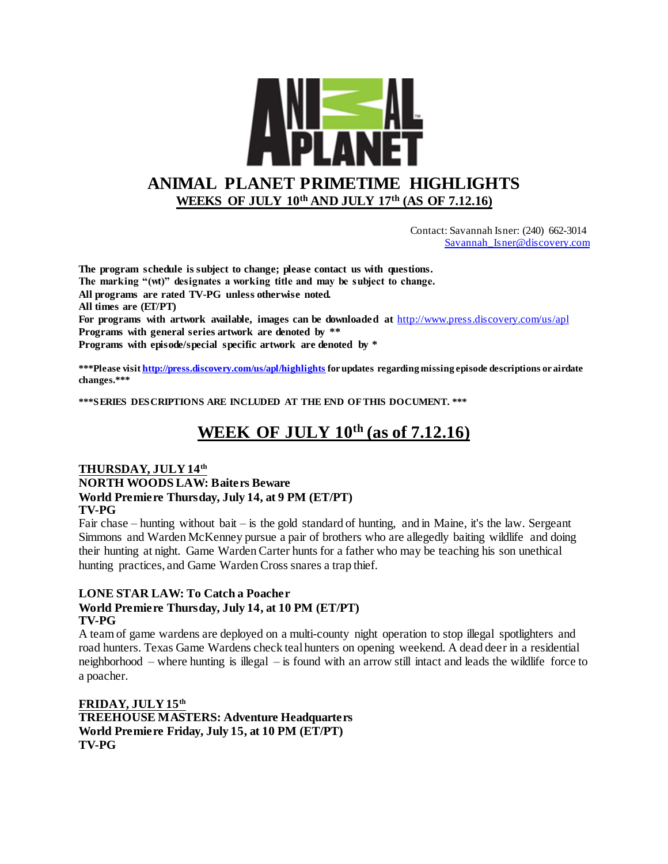

 Contact: Savannah Isner: (240) 662-3014 [Savannah\\_Isner@discovery.com](mailto:Reid_Spencer@discovery.com)

**The program schedule is subject to change; please contact us with questions. The marking "(wt)" designates a working title and may be subject to change. All programs are rated TV-PG unless otherwise noted. All times are (ET/PT) For programs with artwork available, images can be downloaded at** <http://www.press.discovery.com/us/apl> **Programs with general series artwork are denoted by \*\* Programs with episode/special specific artwork are denoted by \***

**\*\*\*Please visi[t http://press.discovery.com/us/apl/highlights](http://press.discovery.com/us/apl/highlights) for updates regarding missing episode descriptions or airdate changes.\*\*\***

**\*\*\*SERIES DESCRIPTIONS ARE INCLUDED AT THE END OF THIS DOCUMENT. \*\*\***

## **WEEK OF JULY 10th (as of 7.12.16)**

#### **THURSDAY, JULY 14th NORTH WOODS LAW: Baiters Beware World Premiere Thursday, July 14, at 9 PM (ET/PT) TV-PG**

Fair chase – hunting without bait – is the gold standard of hunting, and in Maine, it's the law. Sergeant Simmons and Warden McKenney pursue a pair of brothers who are allegedly baiting wildlife and doing their hunting at night. Game Warden Carter hunts for a father who may be teaching his son unethical hunting practices, and Game Warden Cross snares a trap thief.

#### **LONE STAR LAW: To Catch a Poacher World Premiere Thursday, July 14, at 10 PM (ET/PT) TV-PG**

A team of game wardens are deployed on a multi-county night operation to stop illegal spotlighters and road hunters. Texas Game Wardens check teal hunters on opening weekend. A dead deer in a residential neighborhood – where hunting is illegal – is found with an arrow still intact and leads the wildlife force to a poacher.

**FRIDAY, JULY 15th TREEHOUSE MASTERS: Adventure Headquarters World Premiere Friday, July 15, at 10 PM (ET/PT) TV-PG**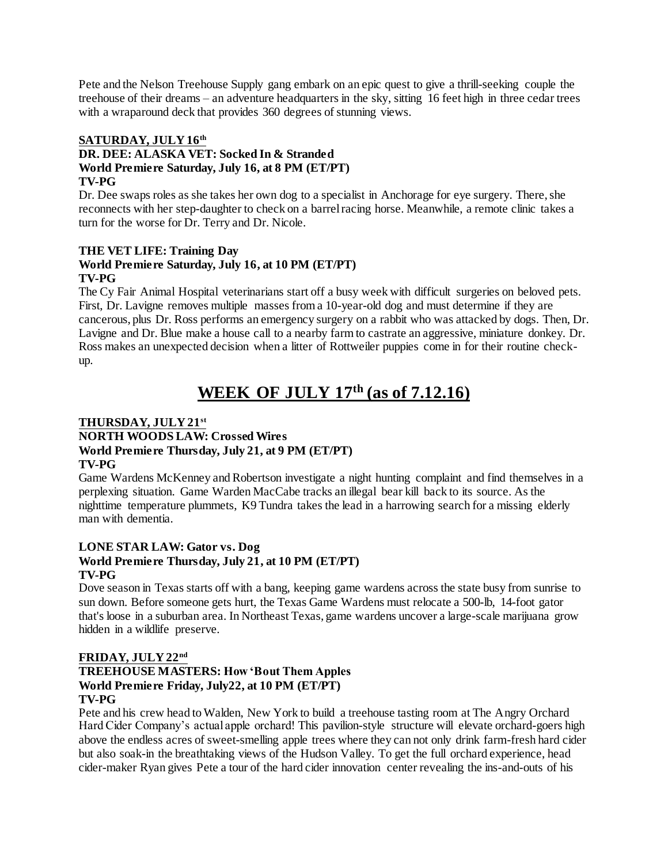Pete and the Nelson Treehouse Supply gang embark on an epic quest to give a thrill-seeking couple the treehouse of their dreams – an adventure headquarters in the sky, sitting 16 feet high in three cedar trees with a wraparound deck that provides 360 degrees of stunning views.

#### **SATURDAY, JULY 16th**

#### **DR. DEE: ALASKA VET: Socked In & Stranded World Premiere Saturday, July 16, at 8 PM (ET/PT) TV-PG**

Dr. Dee swaps roles as she takes her own dog to a specialist in Anchorage for eye surgery. There, she reconnects with her step-daughter to check on a barrel racing horse. Meanwhile, a remote clinic takes a turn for the worse for Dr. Terry and Dr. Nicole.

#### **THE VET LIFE: Training Day World Premiere Saturday, July 16, at 10 PM (ET/PT) TV-PG**

The Cy Fair Animal Hospital veterinarians start off a busy week with difficult surgeries on beloved pets. First, Dr. Lavigne removes multiple masses from a 10-year-old dog and must determine if they are cancerous, plus Dr. Ross performs an emergency surgery on a rabbit who was attacked by dogs. Then, Dr. Lavigne and Dr. Blue make a house call to a nearby farm to castrate an aggressive, miniature donkey. Dr. Ross makes an unexpected decision when a litter of Rottweiler puppies come in for their routine checkup.

# **WEEK OF JULY 17th (as of 7.12.16)**

### **THURSDAY, JULY 21st**

#### **NORTH WOODS LAW: Crossed Wires World Premiere Thursday, July 21, at 9 PM (ET/PT) TV-PG**

Game Wardens McKenney and Robertson investigate a night hunting complaint and find themselves in a perplexing situation. Game Warden MacCabe tracks an illegal bear kill back to its source. As the nighttime temperature plummets, K9 Tundra takes the lead in a harrowing search for a missing elderly man with dementia.

#### **LONE STAR LAW: Gator vs. Dog World Premiere Thursday, July 21, at 10 PM (ET/PT) TV-PG**

Dove season in Texas starts off with a bang, keeping game wardens across the state busy from sunrise to sun down. Before someone gets hurt, the Texas Game Wardens must relocate a 500-lb, 14-foot gator that's loose in a suburban area. In Northeast Texas, game wardens uncover a large-scale marijuana grow hidden in a wildlife preserve.

#### **FRIDAY, JULY 22nd**

#### **TREEHOUSE MASTERS: How 'Bout Them Apples World Premiere Friday, July22, at 10 PM (ET/PT) TV-PG**

Pete and his crew head to Walden, New York to build a treehouse tasting room at The Angry Orchard Hard Cider Company's actual apple orchard! This pavilion-style structure will elevate orchard-goers high above the endless acres of sweet-smelling apple trees where they can not only drink farm-fresh hard cider but also soak-in the breathtaking views of the Hudson Valley. To get the full orchard experience, head cider-maker Ryan gives Pete a tour of the hard cider innovation center revealing the ins-and-outs of his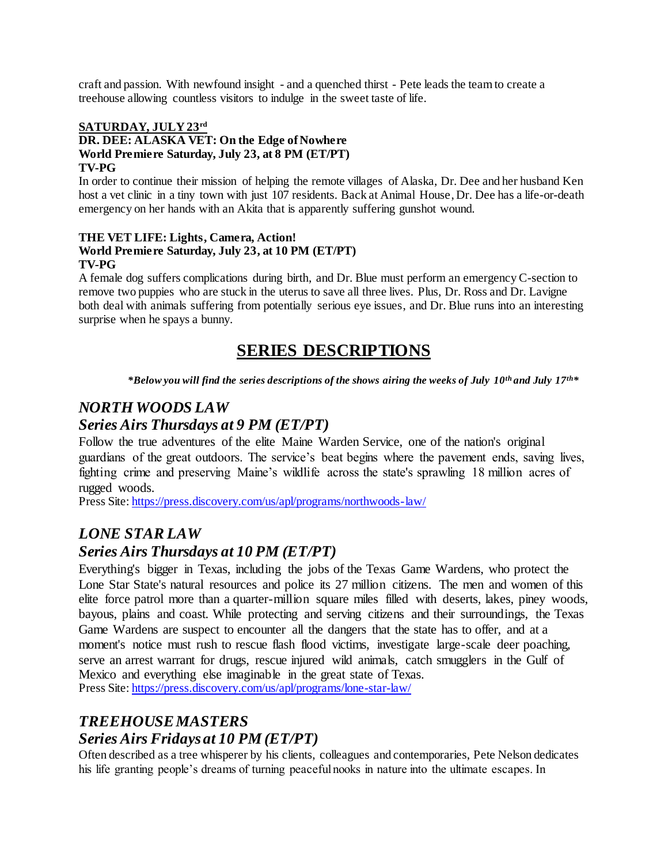craft and passion. With newfound insight - and a quenched thirst - Pete leads the team to create a treehouse allowing countless visitors to indulge in the sweet taste of life.

#### **SATURDAY, JULY 23rd DR. DEE: ALASKA VET: On the Edge of Nowhere World Premiere Saturday, July 23, at 8 PM (ET/PT) TV-PG**

In order to continue their mission of helping the remote villages of Alaska, Dr. Dee and her husband Ken host a vet clinic in a tiny town with just 107 residents. Back at Animal House, Dr. Dee has a life-or-death emergency on her hands with an Akita that is apparently suffering gunshot wound.

#### **THE VET LIFE: Lights, Camera, Action! World Premiere Saturday, July 23, at 10 PM (ET/PT) TV-PG**

A female dog suffers complications during birth, and Dr. Blue must perform an emergency C-section to remove two puppies who are stuck in the uterus to save all three lives. Plus, Dr. Ross and Dr. Lavigne both deal with animals suffering from potentially serious eye issues, and Dr. Blue runs into an interesting surprise when he spays a bunny.

## **SERIES DESCRIPTIONS**

*\*Below you will find the series descriptions of the shows airing the weeks of July 10th and July 17th\**

## *NORTH WOODS LAW*

### *Series Airs Thursdays at 9 PM (ET/PT)*

Follow the true adventures of the elite Maine Warden Service, one of the nation's original guardians of the great outdoors. The service's beat begins where the pavement ends, saving lives, fighting crime and preserving Maine's wildlife across the state's sprawling 18 million acres of rugged woods.

Press Site: <https://press.discovery.com/us/apl/programs/northwoods-law/>

### *LONE STAR LAW*

### *Series Airs Thursdays at 10 PM (ET/PT)*

Everything's bigger in Texas, including the jobs of the Texas Game Wardens, who protect the Lone Star State's natural resources and police its 27 million citizens. The men and women of this elite force patrol more than a quarter-million square miles filled with deserts, lakes, piney woods, bayous, plains and coast. While protecting and serving citizens and their surroundings, the Texas Game Wardens are suspect to encounter all the dangers that the state has to offer, and at a moment's notice must rush to rescue flash flood victims, investigate large-scale deer poaching, serve an arrest warrant for drugs, rescue injured wild animals, catch smugglers in the Gulf of Mexico and everything else imaginable in the great state of Texas. Press Site: <https://press.discovery.com/us/apl/programs/lone-star-law/>

### *TREEHOUSE MASTERS Series Airs Fridays at 10 PM (ET/PT)*

Often described as a tree whisperer by his clients, colleagues and contemporaries, Pete Nelson dedicates his life granting people's dreams of turning peaceful nooks in nature into the ultimate escapes. In